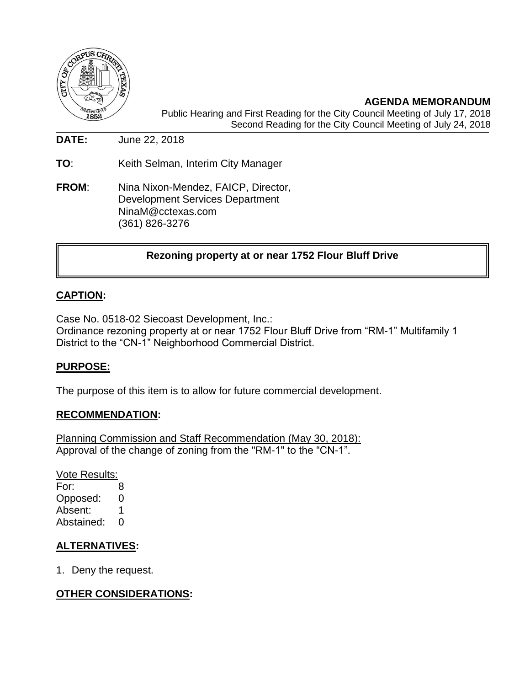

**AGENDA MEMORANDUM** Public Hearing and First Reading for the City Council Meeting of July 17, 2018 Second Reading for the City Council Meeting of July 24, 2018

**DATE:** June 22, 2018

**TO**: Keith Selman, Interim City Manager

**FROM**: Nina Nixon-Mendez, FAICP, Director, Development Services Department NinaM@cctexas.com (361) 826-3276

### **Rezoning property at or near 1752 Flour Bluff Drive**

### **CAPTION:**

Case No. 0518-02 Siecoast Development, Inc.: Ordinance rezoning property at or near 1752 Flour Bluff Drive from "RM-1" Multifamily 1 District to the "CN-1" Neighborhood Commercial District.

# **PURPOSE:**

The purpose of this item is to allow for future commercial development.

#### **RECOMMENDATION:**

Planning Commission and Staff Recommendation (May 30, 2018): Approval of the change of zoning from the "RM-1" to the "CN-1".

Vote Results:

For: 8 Opposed: 0 Absent: 1 Abstained: 0

### **ALTERNATIVES:**

1. Deny the request.

### **OTHER CONSIDERATIONS:**